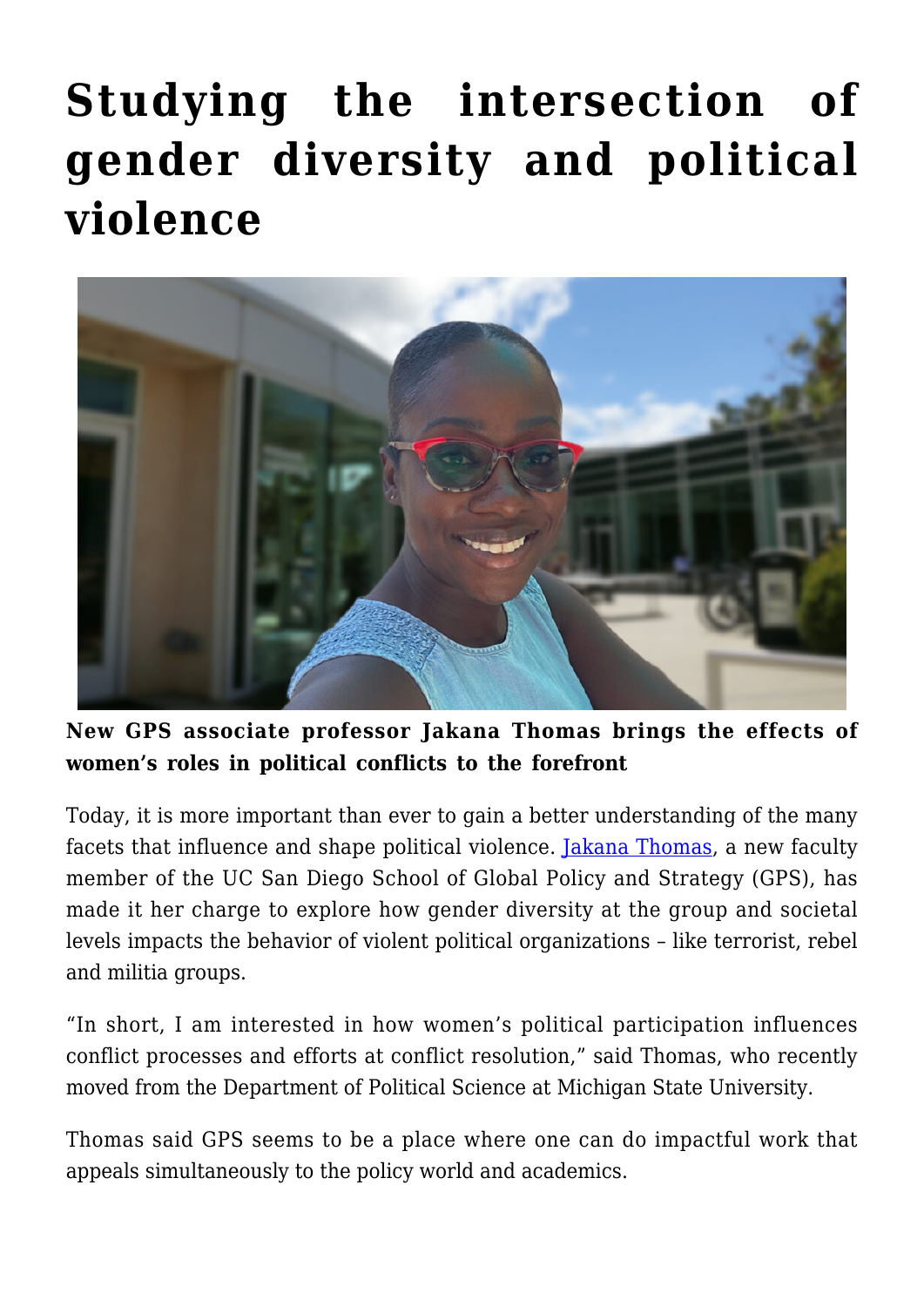## **[Studying the intersection of](https://gpsnews.ucsd.edu/studying-the-intersection-of-gender-diversity-and-political-violence/) [gender diversity and political](https://gpsnews.ucsd.edu/studying-the-intersection-of-gender-diversity-and-political-violence/) [violence](https://gpsnews.ucsd.edu/studying-the-intersection-of-gender-diversity-and-political-violence/)**



**New GPS associate professor Jakana Thomas brings the effects of women's roles in political conflicts to the forefront**

Today, it is more important than ever to gain a better understanding of the many facets that influence and shape political violence. [Jakana Thomas](https://gps.ucsd.edu/faculty-directory/jakana-thomas.html), a new faculty member of the UC San Diego School of Global Policy and Strategy (GPS), has made it her charge to explore how gender diversity at the group and societal levels impacts the behavior of violent political organizations – like terrorist, rebel and militia groups.

"In short, I am interested in how women's political participation influences conflict processes and efforts at conflict resolution," said Thomas, who recently moved from the Department of Political Science at Michigan State University.

Thomas said GPS seems to be a place where one can do impactful work that appeals simultaneously to the policy world and academics.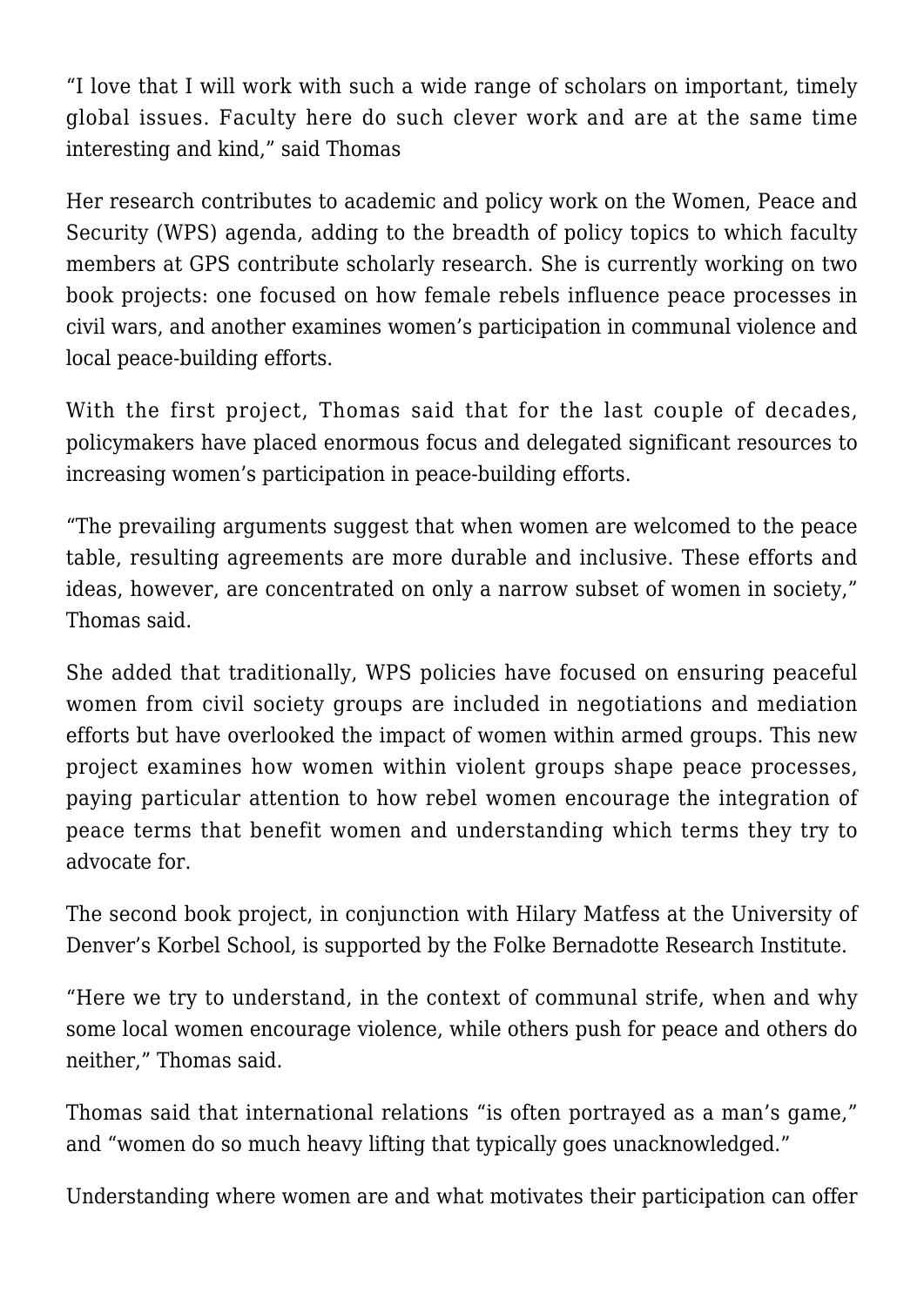"I love that I will work with such a wide range of scholars on important, timely global issues. Faculty here do such clever work and are at the same time interesting and kind," said Thomas

Her research contributes to academic and policy work on the Women, Peace and Security (WPS) agenda, adding to the breadth of policy topics to which faculty members at GPS contribute scholarly research. She is currently working on two book projects: one focused on how female rebels influence peace processes in civil wars, and another examines women's participation in communal violence and local peace-building efforts.

With the first project, Thomas said that for the last couple of decades, policymakers have placed enormous focus and delegated significant resources to increasing women's participation in peace-building efforts.

"The prevailing arguments suggest that when women are welcomed to the peace table, resulting agreements are more durable and inclusive. These efforts and ideas, however, are concentrated on only a narrow subset of women in society," Thomas said.

She added that traditionally, WPS policies have focused on ensuring peaceful women from civil society groups are included in negotiations and mediation efforts but have overlooked the impact of women within armed groups. This new project examines how women within violent groups shape peace processes, paying particular attention to how rebel women encourage the integration of peace terms that benefit women and understanding which terms they try to advocate for.

The second book project, in conjunction with Hilary Matfess at the University of Denver's Korbel School, is supported by the Folke Bernadotte Research Institute.

"Here we try to understand, in the context of communal strife, when and why some local women encourage violence, while others push for peace and others do neither," Thomas said.

Thomas said that international relations "is often portrayed as a man's game," and "women do so much heavy lifting that typically goes unacknowledged."

Understanding where women are and what motivates their participation can offer